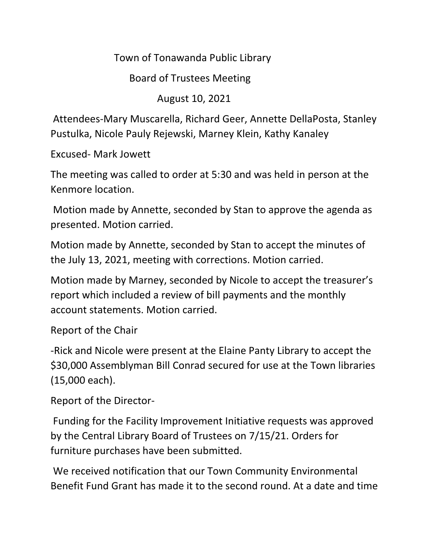Town of Tonawanda Public Library

Board of Trustees Meeting

August 10, 2021

Attendees-Mary Muscarella, Richard Geer, Annette DellaPosta, Stanley Pustulka, Nicole Pauly Rejewski, Marney Klein, Kathy Kanaley

Excused- Mark Jowett

The meeting was called to order at 5:30 and was held in person at the Kenmore location.

Motion made by Annette, seconded by Stan to approve the agenda as presented. Motion carried.

Motion made by Annette, seconded by Stan to accept the minutes of the July 13, 2021, meeting with corrections. Motion carried.

Motion made by Marney, seconded by Nicole to accept the treasurer's report which included a review of bill payments and the monthly account statements. Motion carried.

Report of the Chair

-Rick and Nicole were present at the Elaine Panty Library to accept the \$30,000 Assemblyman Bill Conrad secured for use at the Town libraries (15,000 each).

Report of the Director-

Funding for the Facility Improvement Initiative requests was approved by the Central Library Board of Trustees on 7/15/21. Orders for furniture purchases have been submitted.

We received notification that our Town Community Environmental Benefit Fund Grant has made it to the second round. At a date and time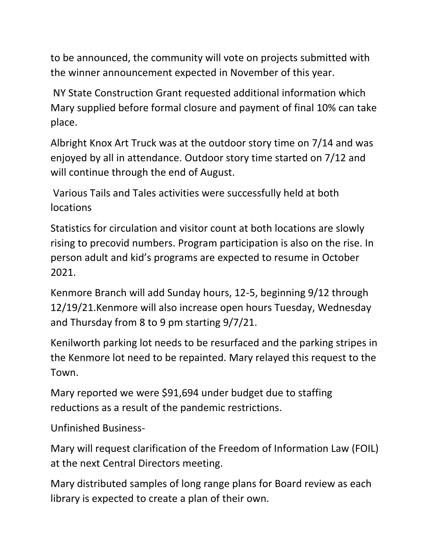to be announced, the community will vote on projects submitted with the winner announcement expected in November of this year.

NY State Construction Grant requested additional information which Mary supplied before formal closure and payment of final 10% can take place.

Albright Knox Art Truck was at the outdoor story time on 7/14 and was enjoyed by all in attendance. Outdoor story time started on 7/12 and will continue through the end of August.

Various Tails and Tales activities were successfully held at both locations

Statistics for circulation and visitor count at both locations are slowly rising to precovid numbers. Program participation is also on the rise. In person adult and kid's programs are expected to resume in October 2021.

Kenmore Branch will add Sunday hours, 12-5, beginning 9/12 through 12/19/21.Kenmore will also increase open hours Tuesday, Wednesday and Thursday from 8 to 9 pm starting 9/7/21.

Kenilworth parking lot needs to be resurfaced and the parking stripes in the Kenmore lot need to be repainted. Mary relayed this request to the Town.

Mary reported we were \$91,694 under budget due to staffing reductions as a result of the pandemic restrictions.

Unfinished Business-

Mary will request clarification of the Freedom of Information Law (FOIL) at the next Central Directors meeting.

Mary distributed samples of long range plans for Board review as each library is expected to create a plan of their own.